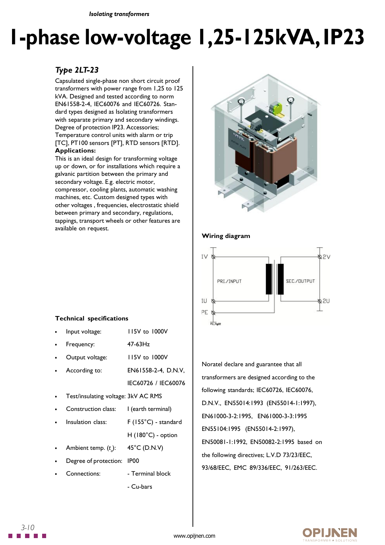*Isolating transformers*

# **1-phase low-voltage 1,25-125kVA, IP23**

## *Type 2LT-23*

Capsulated single-phase non short circuit proof transformers with power range from 1,25 to 125 kVA. Designed and tested according to norm EN61558-2-4, IEC60076 and IEC60726. Standard types designed as Isolating transformers with separate primary and secondary windings. Degree of protection IP23. Accessories; Temperature control units with alarm or trip [TC], PT100 sensors [PT], RTD sensors [RTD]. **Applications:**

This is an ideal design for transforming voltage up or down, or for installations which require a galvanic partition between the primary and secondary voltage. E.g. electric motor, compressor, cooling plants, automatic washing machines, etc. Custom designed types with other voltages , frequencies, electrostatic shield between primary and secondary, regulations, tappings, transport wheels or other features are available on request.



### **Wiring diagram**



## Noratel declare and guarantee that all transformers are designed according to the following standards; IEC60726, IEC60076, D.N.V., EN55014:1993 (EN55014-1:1997), EN61000-3-2:1995, EN61000-3-3:1995 EN55104:1995 (EN55014-2:1997), EN50081-1:1992, EN50082-2:1995 based on the following directives; L.V.D 73/23/EEC, 93/68/EEC, EMC 89/336/EEC, 91/263/EEC.

#### **Technical specifications**

| Input voltage:                      | 115V to 1000V              |
|-------------------------------------|----------------------------|
| Frequency:                          | $47-63$ Hz                 |
| Output voltage:                     | 115V to 1000V              |
| According to:                       | EN61558-2-4, D.N.V,        |
|                                     | IEC60726 / IEC60076        |
| Test/insulating voltage: 3kV AC RMS |                            |
| Construction class:                 | l (earth terminal)         |
| Insulation class:                   | F (155°C) - standard       |
|                                     | $H(180^{\circ}C)$ - option |
| Ambient temp. $(t_a)$ :             | 45°C (D.N.V)               |
| Degree of protection:               | IP <sub>00</sub>           |
| Connections:                        | - Terminal block           |
|                                     | - Cu-bars                  |



*3-10*